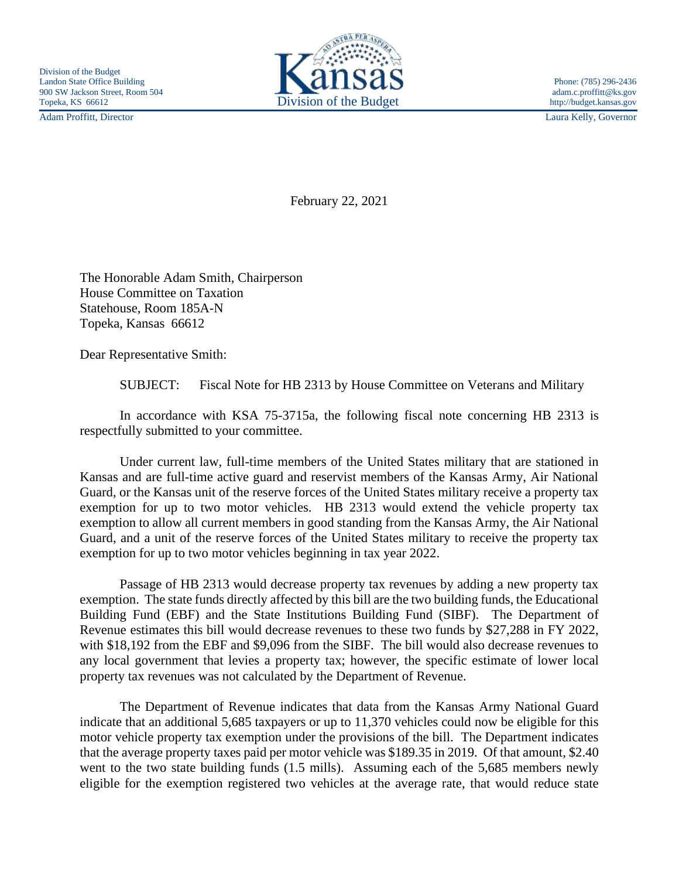Adam Proffitt, Director Laura Kelly, Governor



February 22, 2021

The Honorable Adam Smith, Chairperson House Committee on Taxation Statehouse, Room 185A-N Topeka, Kansas 66612

Dear Representative Smith:

SUBJECT: Fiscal Note for HB 2313 by House Committee on Veterans and Military

In accordance with KSA 75-3715a, the following fiscal note concerning HB 2313 is respectfully submitted to your committee.

Under current law, full-time members of the United States military that are stationed in Kansas and are full-time active guard and reservist members of the Kansas Army, Air National Guard, or the Kansas unit of the reserve forces of the United States military receive a property tax exemption for up to two motor vehicles. HB 2313 would extend the vehicle property tax exemption to allow all current members in good standing from the Kansas Army, the Air National Guard, and a unit of the reserve forces of the United States military to receive the property tax exemption for up to two motor vehicles beginning in tax year 2022.

Passage of HB 2313 would decrease property tax revenues by adding a new property tax exemption. The state funds directly affected by this bill are the two building funds, the Educational Building Fund (EBF) and the State Institutions Building Fund (SIBF). The Department of Revenue estimates this bill would decrease revenues to these two funds by \$27,288 in FY 2022, with \$18,192 from the EBF and \$9,096 from the SIBF. The bill would also decrease revenues to any local government that levies a property tax; however, the specific estimate of lower local property tax revenues was not calculated by the Department of Revenue.

The Department of Revenue indicates that data from the Kansas Army National Guard indicate that an additional 5,685 taxpayers or up to 11,370 vehicles could now be eligible for this motor vehicle property tax exemption under the provisions of the bill. The Department indicates that the average property taxes paid per motor vehicle was \$189.35 in 2019. Of that amount, \$2.40 went to the two state building funds (1.5 mills). Assuming each of the 5,685 members newly eligible for the exemption registered two vehicles at the average rate, that would reduce state